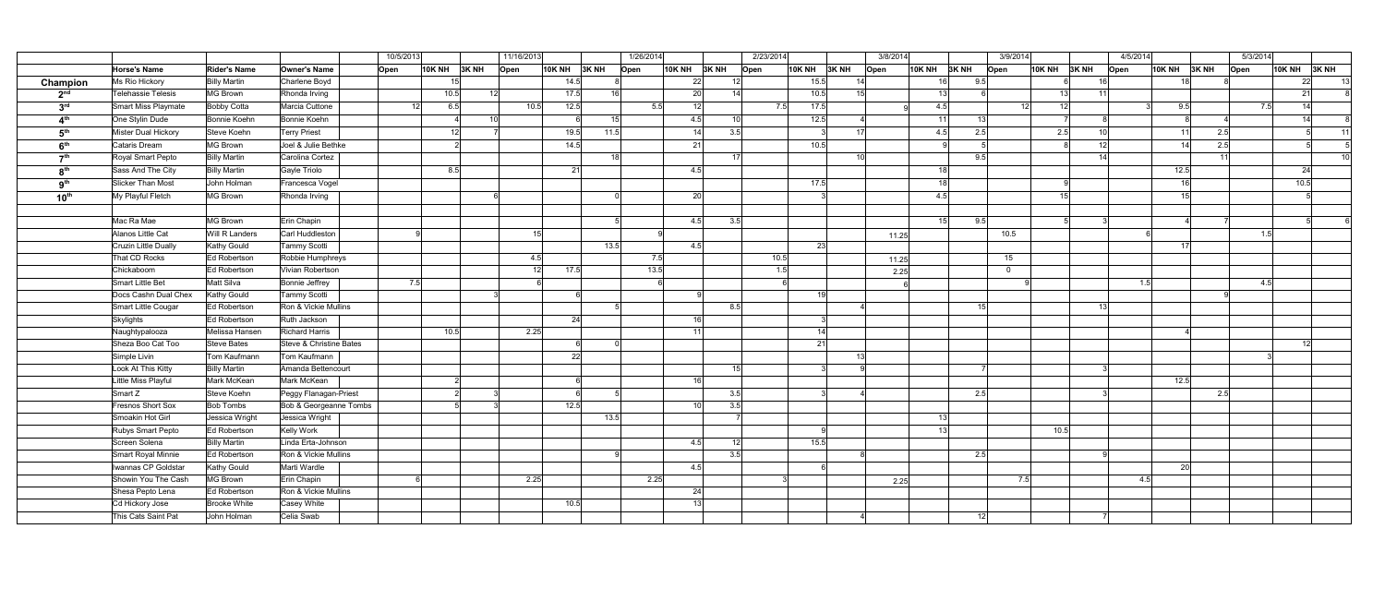|                  |                                            |                         |                             | 10/5/2013 |                | 11/16/2013      |                      | 1/26/2014 |      |                 | 2/23/2014        |      | 3/8/2014       |   |                 |               | 3/9/2014         |          | 4/5/2014              |                 |                        |      | 5/3/2014           |                 |                 |
|------------------|--------------------------------------------|-------------------------|-----------------------------|-----------|----------------|-----------------|----------------------|-----------|------|-----------------|------------------|------|----------------|---|-----------------|---------------|------------------|----------|-----------------------|-----------------|------------------------|------|--------------------|-----------------|-----------------|
|                  | <b>Horse's Name</b>                        | <b>Rider's Name</b>     | Owner's Name                | Open      | $10K NH$ 3K NH | Open            | 10K NH $\vert$ 3K NH |           | Open | <b>10K NH</b>   | 3K <sub>NH</sub> | Open | 10K NH 3K NH   |   | Open            | <b>10K NH</b> | 3K <sub>NH</sub> | Open     | $10K NH$ 3K NH        | $\sqrt{O}$ pen  | <b>10K NH</b>          | 3KNH | $\overline{O}$ pen | <b>10K NH</b>   | 3KNH            |
| Champion         | Ms Rio Hickory                             | <b>Billy Martin</b>     | Charlene Boyd               |           | 15             |                 | 14.5                 |           |      | 22              | 12               |      | 15.5           |   | 14              |               | 9.5<br>16        |          |                       | 16              | 18 <sup>1</sup>        |      |                    | 22              | 13              |
| 2 <sup>nd</sup>  | Telehassie Telesis                         | MG Brown                | Rhonda Irving               |           | 10.5           | 12 <sup>1</sup> | 17.5                 | 16        |      | 20              | 14               |      | 10.5           |   | 15 <sup>1</sup> | 13            |                  |          | 13                    |                 |                        |      |                    | 21              |                 |
| 3 <sup>rd</sup>  | Smart Miss Playmate                        | Bobby Cotta             | Marcia Cuttone              |           | 12<br>6.5      | 10.5            | 12.5                 |           | 5.5  | 12              |                  |      | 7.5<br>17.5    |   |                 | 4.5           |                  |          | 12 <sup>1</sup><br>12 |                 | 9.5                    |      | 7.5                | 14              |                 |
| 4 <sup>th</sup>  | One Stylin Dude                            | Bonnie Koehn            | Bonnie Koehn                |           |                | 10 <sup>1</sup> |                      | 15        |      | 4.5             | 10 <sup>1</sup>  |      | 12.5           |   |                 | 11            | 13               |          |                       |                 |                        |      |                    | 14              |                 |
| 5 <sup>th</sup>  | Mister Dual Hickory                        | Steve Koehn             | <b>Terry Priest</b>         |           | 12             |                 | 19.5                 | 11.5      |      | 14              | 3.5              |      |                |   | 17              | 4.5           | 2.5              |          | 2.5                   |                 | 11                     | 2.5  |                    |                 | 11              |
| 6 <sup>th</sup>  | Cataris Dream                              | MG Brown                | Joel & Julie Bethke         |           |                |                 | 14.5                 |           |      | 21              |                  |      | 10.5           |   |                 |               |                  |          |                       | 12              | 14                     | 2.5  |                    |                 |                 |
| ァth              | Royal Smart Pepto                          | <b>Billy Martin</b>     | Carolina Cortez             |           |                |                 |                      | 18        |      |                 | 17               |      |                |   | 10 <sup>1</sup> |               | 9.5              |          |                       | 14              |                        | 11   |                    |                 | 10 <sup>1</sup> |
| 8 <sup>th</sup>  | Sass And The City                          | <b>Billy Martin</b>     | Gayle Triolo                |           | 8.5            |                 | 21                   |           |      | 4.5             |                  |      |                |   |                 | 18            |                  |          |                       |                 | 12.5                   |      |                    | 24              |                 |
| 9 <sup>th</sup>  | Slicker Than Most                          | John Holman             | Francesca Vogel             |           |                |                 |                      |           |      |                 |                  |      | 17.5           |   |                 | 18            |                  |          |                       |                 | 16                     |      |                    | 10.5            |                 |
| $10^{\text{th}}$ | My Playful Fletch                          | MG Brown                | Rhonda Irving               |           |                |                 |                      |           |      | 20              |                  |      |                |   |                 | 4.5           |                  |          | 15                    |                 | 15 <sup>1</sup>        |      |                    |                 |                 |
|                  |                                            |                         |                             |           |                |                 |                      |           |      |                 |                  |      |                |   |                 |               |                  |          |                       |                 |                        |      |                    |                 |                 |
|                  | Mac Ra Mae                                 | MG Brown                | Erin Chapin                 |           |                |                 |                      |           |      | 4.5             | 3.5              |      |                |   |                 |               | 9.5<br>15        |          |                       |                 |                        |      |                    |                 |                 |
|                  | Alanos Little Cat                          | Will R Landers          | Carl Huddleston             |           |                | 15 <sup>2</sup> |                      |           |      |                 |                  |      |                |   | 11.25           |               |                  | 10.5     |                       |                 |                        |      | 1.5                |                 |                 |
|                  | Cruzin Little Dually                       | Kathy Gould             | <b>Tammy Scotti</b>         |           |                |                 |                      | 13.5      |      | 4.5             |                  |      | 23             |   |                 |               |                  |          |                       |                 | 17 <sup>1</sup>        |      |                    |                 |                 |
|                  | That CD Rocks                              | Ed Robertson            | Robbie Humphreys            |           |                | 4.5             |                      |           | 7.5  |                 |                  |      | $\boxed{10.5}$ |   | 11.25           |               |                  | 15       |                       |                 |                        |      |                    |                 |                 |
|                  | Chickaboom                                 | Ed Robertson            | Vivian Robertson            |           |                | 12              | 17.5                 |           | 13.5 |                 |                  |      | 1.5            |   | 2.25            |               |                  | $\Omega$ |                       |                 |                        |      |                    |                 |                 |
|                  | Smart Little Bet                           | Matt Silva              | Bonnie Jeffrey              | 7.5       |                |                 |                      |           |      |                 |                  |      |                |   |                 |               |                  |          |                       |                 | 1.5                    |      | 4.5                |                 |                 |
|                  | Docs Cashn Dual Chex                       | Kathy Gould             | Tammy Scotti                |           |                |                 |                      |           |      |                 |                  |      | 19             |   |                 |               |                  |          |                       |                 |                        |      |                    |                 |                 |
|                  | Smart Little Cougar                        | Ed Robertson            | Ron & Vickie Mullins        |           |                |                 |                      |           |      |                 | 8.5              |      |                |   |                 |               | 15 <sup>2</sup>  |          |                       | 13 <sup>l</sup> |                        |      |                    |                 |                 |
|                  | Skylights                                  | Ed Robertson            | Ruth Jackson                |           |                |                 | 24                   |           |      | 16              |                  |      |                |   |                 |               |                  |          |                       |                 |                        |      |                    |                 |                 |
|                  | Naughtypalooza                             | Melissa Hansen          | Richard Harris              |           | 10.5           | 2.25            |                      |           |      | 11              |                  |      | 14             |   |                 |               |                  |          |                       |                 |                        |      |                    |                 |                 |
|                  | Sheza Boo Cat Too                          | Steve Bates             | Steve & Christine Bates     |           |                |                 |                      |           |      |                 |                  |      | 21             |   |                 |               |                  |          |                       |                 |                        |      |                    | 12 <sup>1</sup> |                 |
|                  | Simple Livin                               | Tom Kaufmann            | Tom Kaufmann                |           |                |                 | 22                   |           |      |                 |                  |      |                |   | 13 <sup>1</sup> |               |                  |          |                       |                 |                        |      |                    |                 |                 |
|                  | Look At This Kitty                         | <b>Billy Martin</b>     | Amanda Bettencourt          |           |                |                 |                      |           |      |                 | 15               |      |                |   |                 |               |                  |          |                       |                 |                        |      |                    |                 |                 |
|                  | Little Miss Playful                        | Mark McKean             | Mark McKean                 |           | $\overline{2}$ |                 |                      |           |      | 16              |                  |      |                |   |                 |               |                  |          |                       |                 | 12.5                   |      |                    |                 |                 |
|                  | Smart Z                                    | Steve Koehn             | Peggy Flanagan-Priest       |           | $\overline{2}$ |                 |                      |           |      |                 | 3.5              |      |                |   |                 |               | 2.5              |          |                       |                 |                        | 2.5  |                    |                 |                 |
|                  | Fresnos Short Sox                          | <b>Bob Tombs</b>        | Bob & Georgeanne Tombs      |           |                |                 | 12.5                 |           |      | 10 <sup>1</sup> | 3.5              |      |                |   |                 |               |                  |          |                       |                 |                        |      |                    |                 |                 |
|                  | Smoakin Hot Girl                           | Jessica Wright          | Jessica Wright              |           |                |                 |                      | 13.5      |      |                 |                  |      |                | a |                 |               | 13               |          |                       |                 |                        |      |                    |                 |                 |
|                  | Rubys Smart Pepto                          | Ed Robertson            | Kelly Work                  |           |                |                 |                      |           |      |                 |                  |      |                |   |                 |               | 13 <sup>1</sup>  |          | 10.5                  |                 |                        |      |                    |                 |                 |
|                  | Screen Solena                              | <b>Billy Martin</b>     | Linda Erta-Johnson          |           |                |                 |                      |           |      | 4.5             | 12               |      | 15.5           |   |                 |               |                  |          |                       |                 |                        |      |                    |                 |                 |
|                  | Smart Royal Minnie                         | Ed Robertson            | Ron & Vickie Mullins        |           |                |                 |                      |           |      |                 | 3.5              |      |                |   |                 |               | 2.5              |          |                       |                 |                        |      |                    |                 |                 |
|                  | Iwannas CP Goldstar<br>Showin You The Cash | Kathy Gould<br>MG Brown | Marti Wardle<br>Erin Chapin |           |                | 2.25            |                      |           | 2.25 | 4.5             |                  |      |                |   |                 |               |                  |          | 7.5                   |                 | 20 <sup>1</sup><br>4.5 |      |                    |                 |                 |
|                  | Shesa Pepto Lena                           | Ed Robertson            | Ron & Vickie Mullins        |           |                |                 |                      |           |      | 24              |                  |      |                |   | 2.25            |               |                  |          |                       |                 |                        |      |                    |                 |                 |
|                  | Cd Hickory Jose                            | Brooke White            | Casey White                 |           |                |                 | 10.5                 |           |      | 13              |                  |      |                |   |                 |               |                  |          |                       |                 |                        |      |                    |                 |                 |
|                  | This Cats Saint Pat                        | John Holman             | Celia Swab                  |           |                |                 |                      |           |      |                 |                  |      |                |   |                 |               |                  |          |                       |                 |                        |      |                    |                 |                 |
|                  |                                            |                         |                             |           |                |                 |                      |           |      |                 |                  |      |                |   |                 |               | 12               |          |                       |                 |                        |      |                    |                 |                 |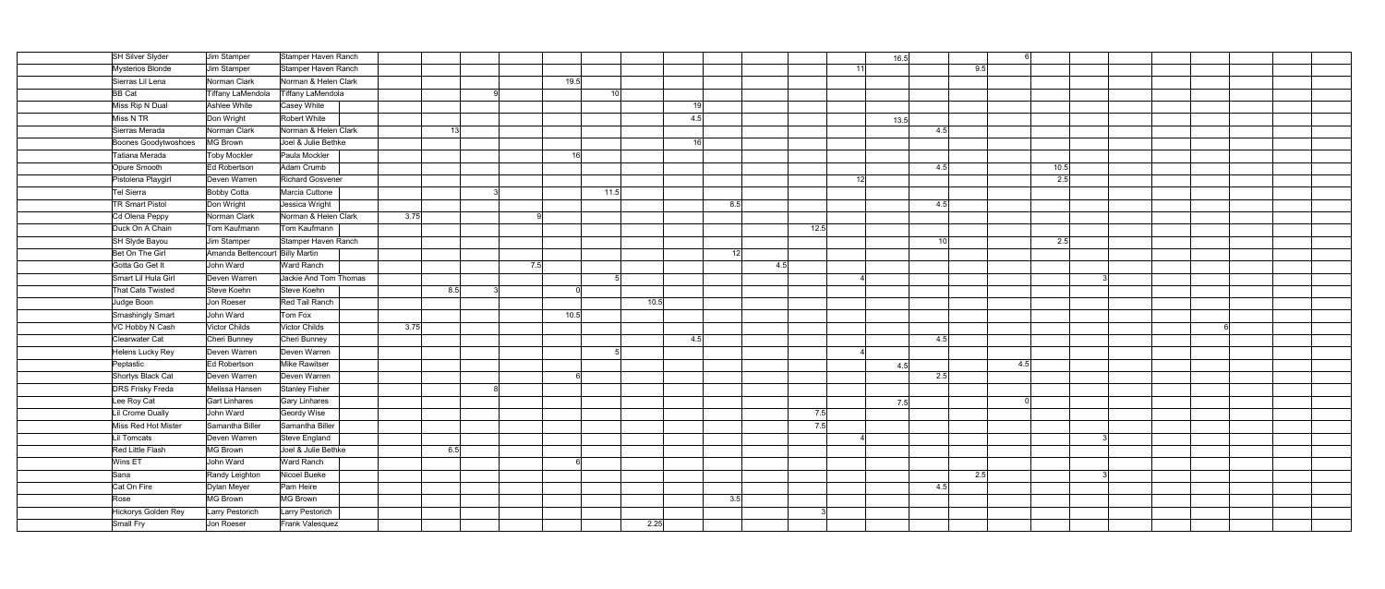| SH Silver Slyder            | Jim Stamper                     | Stamper Haven Ranch      |      |                 |          |                 |     |      | 16.5 |                 |      |  |  |  |
|-----------------------------|---------------------------------|--------------------------|------|-----------------|----------|-----------------|-----|------|------|-----------------|------|--|--|--|
| Mysterios Blonde            | Jim Stamper                     | Stamper Haven Ranch      |      |                 |          |                 |     | 11   |      |                 | 9.5  |  |  |  |
| Sierras Lil Lena            | Norman Clark                    | Norman & Helen Clark     |      |                 | 19.5     |                 |     |      |      |                 |      |  |  |  |
| <b>BB</b> Cat               | Tiffany LaMendola               | <b>Tiffany LaMendola</b> |      |                 |          | 10 <sup>1</sup> |     |      |      |                 |      |  |  |  |
| Miss Rip N Dual             | Ashlee White                    | Casey White              |      |                 |          |                 | 19  |      |      |                 |      |  |  |  |
| Miss N TR                   | Don Wright                      | Robert White             |      |                 |          |                 | 4.5 |      | 13.5 |                 |      |  |  |  |
| Sierras Merada              | Norman Clark                    | Norman & Helen Clark     |      | 13 <sup>1</sup> |          |                 |     |      |      | 4.5             |      |  |  |  |
| <b>Boones Goodytwoshoes</b> | MG Brown                        | Joel & Julie Bethke      |      |                 |          |                 | 16  |      |      |                 |      |  |  |  |
| Tatiana Merada              | Toby Mockler                    | Paula Mockler            |      |                 | 16       |                 |     |      |      |                 |      |  |  |  |
| Opure Smooth                | Ed Robertson                    | Adam Crumb               |      |                 |          |                 |     |      |      | 4.5             | 10.5 |  |  |  |
| Pistolena Playgirl          | Deven Warren                    | <b>Richard Gosvener</b>  |      |                 |          |                 |     | 12   |      |                 | 2.5  |  |  |  |
| Tel Sierra                  | <b>Bobby Cotta</b>              | Marcia Cuttone           |      |                 |          | 11.5            |     |      |      |                 |      |  |  |  |
| <b>TR Smart Pistol</b>      | Don Wright                      | Jessica Wright           |      |                 |          |                 | 8.5 |      |      | 4.5             |      |  |  |  |
| Cd Olena Peppy              | Norman Clark                    | Norman & Helen Clark     | 3.75 |                 | -9       |                 |     |      |      |                 |      |  |  |  |
| Duck On A Chain             | Tom Kaufmann                    | Tom Kaufmann             |      |                 |          |                 |     | 12.5 |      |                 |      |  |  |  |
| SH Slyde Bayou              | Jim Stamper                     | Stamper Haven Ranch      |      |                 |          |                 |     |      |      | 10 <sup>1</sup> | 2.5  |  |  |  |
| Bet On The Girl             | Amanda Bettencourt Billy Martin |                          |      |                 |          |                 | 12  |      |      |                 |      |  |  |  |
| Gotta Go Get It             | John Ward                       | Ward Ranch               |      |                 | 7.5      |                 | 4.5 |      |      |                 |      |  |  |  |
| Smart Lil Hula Girl         | Deven Warren                    | Jackie And Tom Thomas    |      |                 |          |                 |     |      |      |                 |      |  |  |  |
| That Cats Twisted           | Steve Koehn                     | Steve Koehn              | 8.5  |                 | $\Omega$ |                 |     |      |      |                 |      |  |  |  |
| Judge Boon                  | Jon Roeser                      | Red Tail Ranch           |      |                 |          | 10.5            |     |      |      |                 |      |  |  |  |
| Smashingly Smart            | John Ward                       | Tom Fox                  |      |                 | 10.5     |                 |     |      |      |                 |      |  |  |  |
| VC Hobby N Cash             | Victor Childs                   | Victor Childs            | 3.75 |                 |          |                 |     |      |      |                 |      |  |  |  |
| Clearwater Cat              | Cheri Bunney                    | Cheri Bunney             |      |                 |          |                 | 4.5 |      |      | 4.5             |      |  |  |  |
| Helens Lucky Rey            | Deven Warren                    | Deven Warren             |      |                 |          |                 |     |      |      |                 |      |  |  |  |
| Peptastic                   | Ed Robertson                    | Mike Rawitser            |      |                 |          |                 |     |      | 4.5  |                 | 4.5  |  |  |  |
| Shortys Black Cat           | Deven Warren                    | Deven Warren             |      |                 | 6        |                 |     |      |      | 2.5             |      |  |  |  |
| <b>DRS Frisky Freda</b>     | Melissa Hansen                  | Stanley Fisher           |      |                 |          |                 |     |      |      |                 |      |  |  |  |
| Lee Roy Cat                 | Gart Linhares                   | Gary Linhares            |      |                 |          |                 |     |      | 7.5  |                 |      |  |  |  |
| Lil Crome Dually            | John Ward                       | Geordy Wise              |      |                 |          |                 |     | 7.5  |      |                 |      |  |  |  |
| Miss Red Hot Mister         | Samantha Biller                 | Samantha Biller          |      |                 |          |                 |     | 7.5  |      |                 |      |  |  |  |
| Lil Tomcats                 | Deven Warren                    | Steve England            |      |                 |          |                 |     |      |      |                 |      |  |  |  |
| Red Little Flash            | MG Brown                        | Joel & Julie Bethke      | 6.5  |                 |          |                 |     |      |      |                 |      |  |  |  |
| Wins ET                     | John Ward                       | Ward Ranch               |      |                 |          |                 |     |      |      |                 |      |  |  |  |
| Sana                        | Randy Leighton                  | Nicoel Bueke             |      |                 |          |                 |     |      |      |                 | 2.5  |  |  |  |
| Cat On Fire                 | Dylan Meyer                     | Pam Heire                |      |                 |          |                 |     |      |      | 4.5             |      |  |  |  |
| Rose                        | MG Brown                        | <b>MG Brown</b>          |      |                 |          |                 | 3.5 |      |      |                 |      |  |  |  |
| Hickorys Golden Rey         | Larry Pestorich                 | Larry Pestorich          |      |                 |          |                 |     |      |      |                 |      |  |  |  |
| Small Fry                   | Jon Roeser                      | Frank Valesquez          |      |                 |          | 2.25            |     |      |      |                 |      |  |  |  |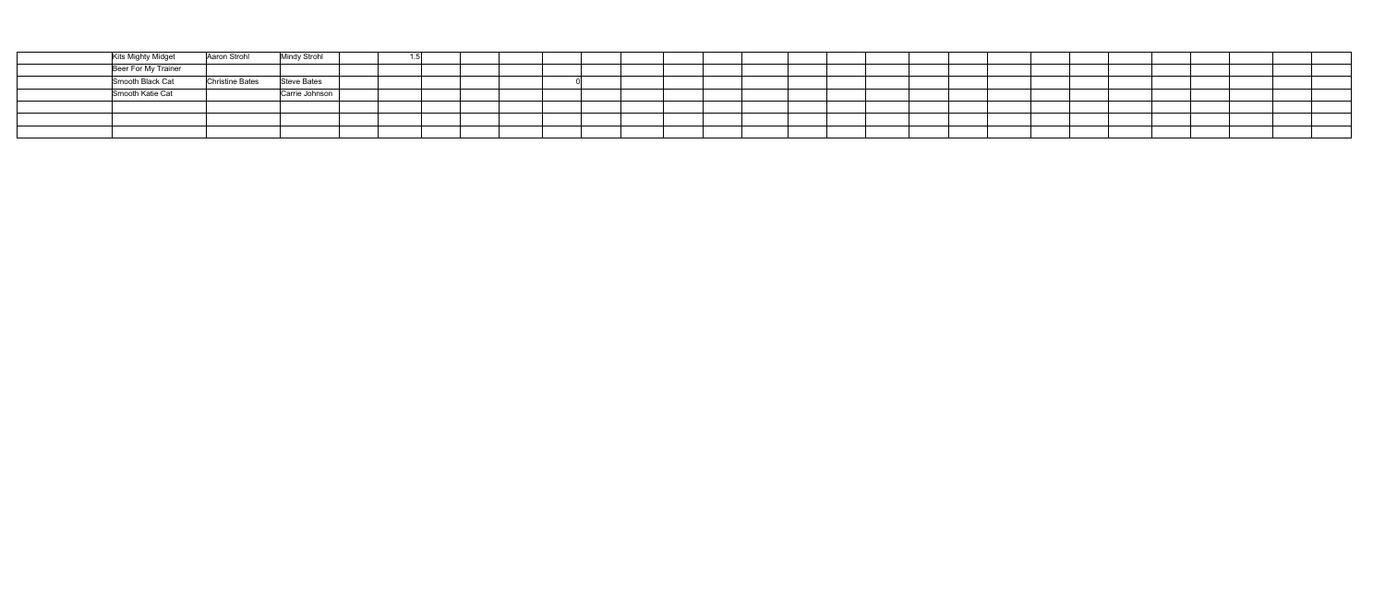| Kits Mighty Midget  | Aaron Strohl    | <b>Mindy Strohl</b> |  |  |  |  |  |  |
|---------------------|-----------------|---------------------|--|--|--|--|--|--|
| Beer For My Trainer |                 |                     |  |  |  |  |  |  |
| Smooth Black Cat    | Christine Bates | Steve Bates         |  |  |  |  |  |  |
| Smooth Katie Cat    |                 | Carrie Johnson      |  |  |  |  |  |  |
|                     |                 |                     |  |  |  |  |  |  |
|                     |                 |                     |  |  |  |  |  |  |
|                     |                 |                     |  |  |  |  |  |  |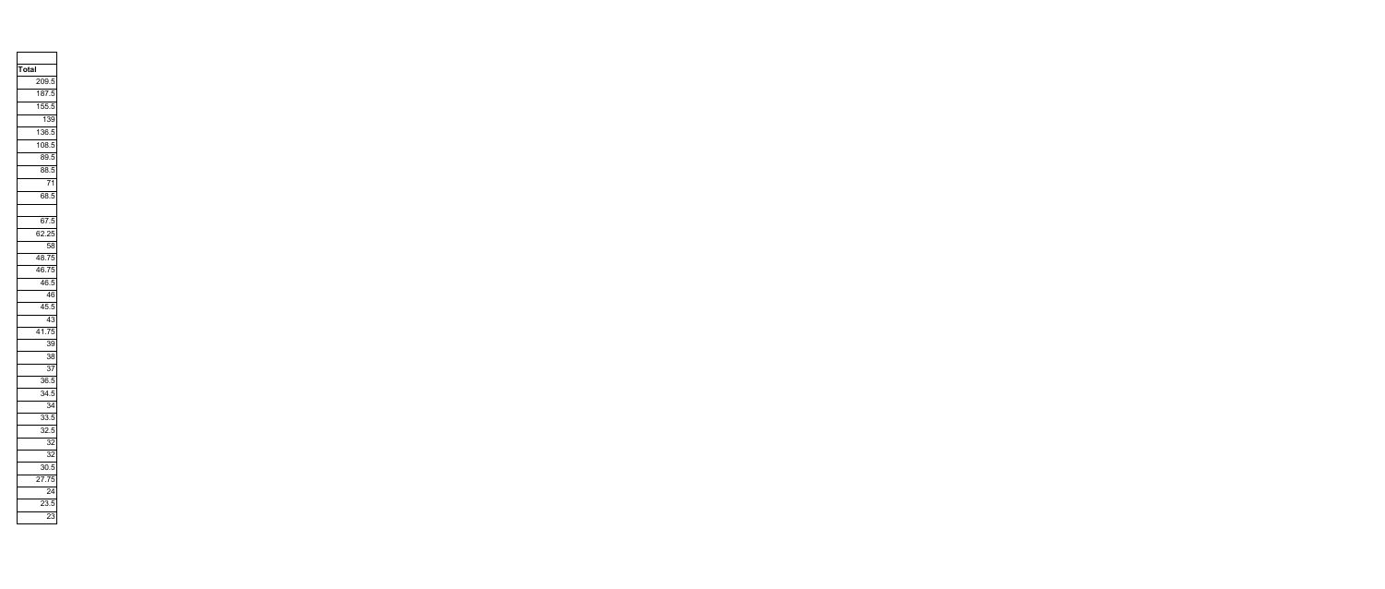| Total |     |                    |                 |
|-------|-----|--------------------|-----------------|
|       |     | $\frac{1}{209.5}$  |                 |
|       |     | 187.5              |                 |
|       |     | $\frac{1}{155.5}$  |                 |
|       |     | 139                |                 |
|       |     | 136.5              |                 |
|       |     | $\frac{108.5}{5}$  |                 |
|       |     | 89.5               |                 |
|       |     | 88.5               |                 |
|       |     |                    | $\overline{71}$ |
|       |     | 68.5               |                 |
|       |     |                    |                 |
|       |     | 67.5               |                 |
|       |     | $62.\overline{25}$ |                 |
|       |     |                    | $\overline{58}$ |
|       |     | 48.75              |                 |
|       |     | $\frac{40}{46.75}$ |                 |
|       |     | $\frac{1}{46.5}$   |                 |
|       |     |                    | $\overline{46}$ |
|       |     | 45.5               |                 |
|       |     |                    | 43              |
|       |     | $\frac{41.75}{ }$  |                 |
|       |     |                    | $\overline{39}$ |
|       |     |                    | $\overline{38}$ |
|       |     |                    | $\overline{37}$ |
|       |     | 36.5               |                 |
|       |     | 34.5               |                 |
|       |     |                    | 34              |
|       |     | 33.5               |                 |
|       |     | 32.5               |                 |
|       |     |                    | 32              |
|       |     |                    | $\overline{32}$ |
|       |     | 30.5               |                 |
|       | 27. |                    | $\overline{75}$ |
|       |     |                    | $\overline{24}$ |
|       |     | $\overline{23.5}$  |                 |
|       |     |                    | 23              |
|       |     |                    |                 |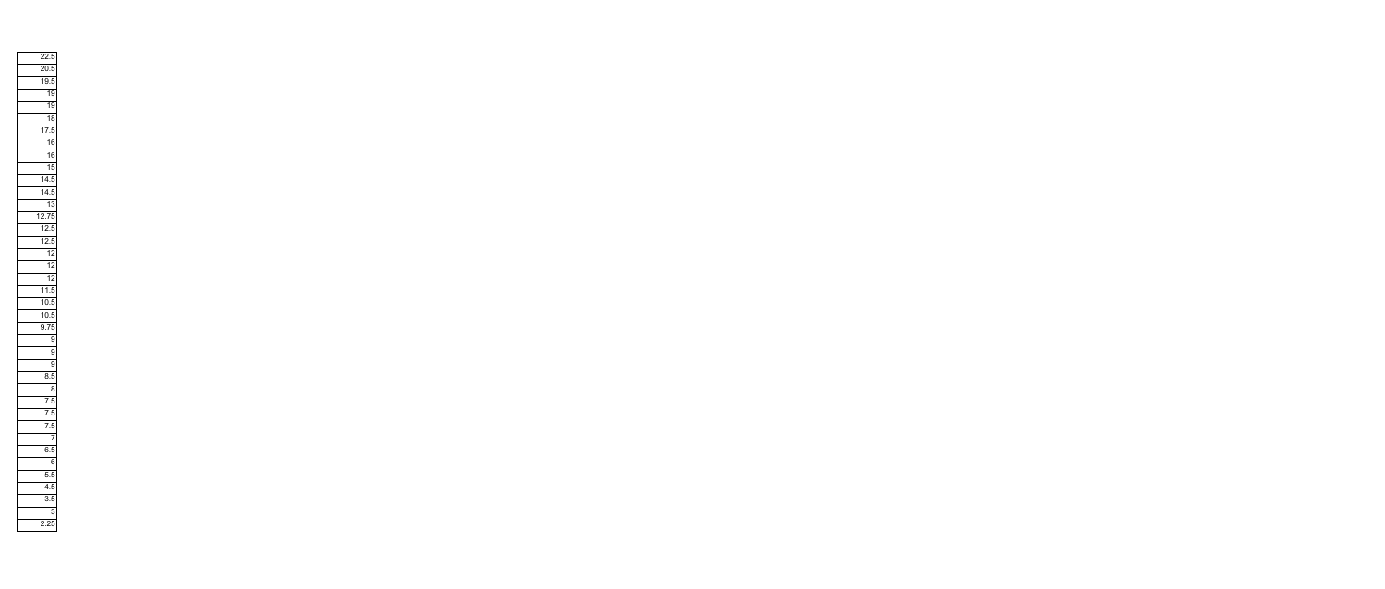|  | $\overline{22.5}$ |                 |
|--|-------------------|-----------------|
|  | $\frac{1}{20.5}$  |                 |
|  | $\frac{19.5}{x}$  |                 |
|  |                   | 19              |
|  |                   | $\overline{19}$ |
|  |                   | $\overline{18}$ |
|  | $\overline{17.5}$ |                 |
|  |                   | $\overline{16}$ |
|  |                   | 16              |
|  |                   | $\overline{15}$ |
|  | $\frac{1}{14.5}$  |                 |
|  | $\frac{1}{14.5}$  |                 |
|  |                   | $\overline{13}$ |
|  | 12.75             |                 |
|  | 12.5              |                 |
|  | 12.5              |                 |
|  |                   | $\overline{12}$ |
|  |                   | 12              |
|  |                   | $\sqrt{2}$      |
|  | $\frac{11.5}{2}$  |                 |
|  | $\frac{10.5}{2}$  |                 |
|  | $\frac{1}{10.5}$  |                 |
|  | 9.75              |                 |
|  |                   | $\overline{9}$  |
|  |                   | $\overline{9}$  |
|  |                   | $\overline{9}$  |
|  | $\overline{8.5}$  |                 |
|  |                   | $\overline{8}$  |
|  | 7.5               |                 |
|  | $\overline{7.5}$  |                 |
|  | 7                 | $\overline{5}$  |
|  |                   | $\overline{7}$  |
|  | $\overline{6.5}$  |                 |
|  |                   | $\overline{6}$  |
|  | 5                 | 5               |
|  | $\overline{4.5}$  |                 |
|  | $\overline{3.5}$  |                 |
|  |                   | 3               |
|  | $\overline{2.25}$ |                 |